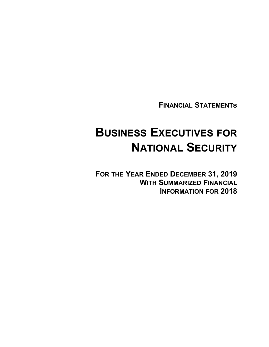**FINANCIAL STATEMENTs**

# **BUSINESS EXECUTIVES FOR NATIONAL SECURITY**

**FOR THE YEAR ENDED DECEMBER 31, 2019 WITH SUMMARIZED FINANCIAL INFORMATION FOR 2018**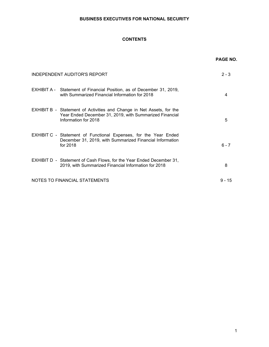# **CONTENTS**

|                                                                                                                                                          | <b>PAGE NO.</b> |
|----------------------------------------------------------------------------------------------------------------------------------------------------------|-----------------|
| INDEPENDENT AUDITOR'S REPORT                                                                                                                             | $2 - 3$         |
| EXHIBIT A - Statement of Financial Position, as of December 31, 2019,<br>with Summarized Financial Information for 2018                                  | 4               |
| EXHIBIT B - Statement of Activities and Change in Net Assets, for the<br>Year Ended December 31, 2019, with Summarized Financial<br>Information for 2018 | 5               |
| EXHIBIT C - Statement of Functional Expenses, for the Year Ended<br>December 31, 2019, with Summarized Financial Information<br>for 2018                 | $6 - 7$         |
| EXHIBIT D - Statement of Cash Flows, for the Year Ended December 31,<br>2019, with Summarized Financial Information for 2018                             | 8               |
| NOTES TO FINANCIAL STATEMENTS                                                                                                                            | 9 - 15          |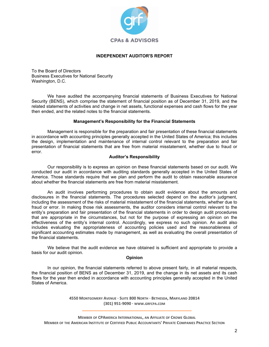

# **INDEPENDENT AUDITOR'S REPORT**

To the Board of Directors Business Executives for National Security Washington, D.C.

We have audited the accompanying financial statements of Business Executives for National Security (BENS), which comprise the statement of financial position as of December 31, 2019, and the related statements of activities and change in net assets, functional expenses and cash flows for the year then ended, and the related notes to the financial statements.

# **Management's Responsibility for the Financial Statements**

Management is responsible for the preparation and fair presentation of these financial statements in accordance with accounting principles generally accepted in the United States of America; this includes the design, implementation and maintenance of internal control relevant to the preparation and fair presentation of financial statements that are free from material misstatement, whether due to fraud or error.

# **Auditor's Responsibility**

Our responsibility is to express an opinion on these financial statements based on our audit. We conducted our audit in accordance with auditing standards generally accepted in the United States of America. Those standards require that we plan and perform the audit to obtain reasonable assurance about whether the financial statements are free from material misstatement.

An audit involves performing procedures to obtain audit evidence about the amounts and disclosures in the financial statements. The procedures selected depend on the auditor's judgment, including the assessment of the risks of material misstatement of the financial statements, whether due to fraud or error. In making those risk assessments, the auditor considers internal control relevant to the entity's preparation and fair presentation of the financial statements in order to design audit procedures that are appropriate in the circumstances, but not for the purpose of expressing an opinion on the effectiveness of the entity's internal control. Accordingly, we express no such opinion. An audit also includes evaluating the appropriateness of accounting policies used and the reasonableness of significant accounting estimates made by management, as well as evaluating the overall presentation of the financial statements.

We believe that the audit evidence we have obtained is sufficient and appropriate to provide a basis for our audit opinion.

# **Opinion**

In our opinion, the financial statements referred to above present fairly, in all material respects, the financial position of BENS as of December 31, 2019, and the change in its net assets and its cash flows for the year then ended in accordance with accounting principles generally accepted in the United States of America.

> **4550 MONTGOMERY AVENUE · SUITE 800 NORTH · BETHESDA, MARYLAND 20814 (301) 951-9090 · WWW.GRFCPA.COM \_\_\_\_\_\_\_\_\_\_\_\_\_\_\_\_\_\_\_\_\_\_\_\_\_\_\_\_\_\_\_\_\_\_\_\_\_\_\_\_\_\_\_\_\_\_\_\_\_\_**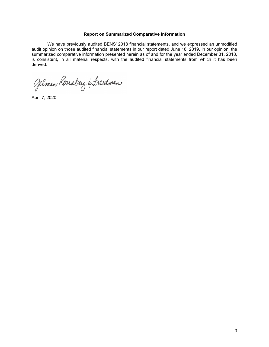# **Report on Summarized Comparative Information**

We have previously audited BENS' 2018 financial statements, and we expressed an unmodified audit opinion on those audited financial statements in our report dated June 18, 2019. In our opinion, the summarized comparative information presented herein as of and for the year ended December 31, 2018, is consistent, in all material respects, with the audited financial statements from which it has been derived.

Gelman Roseaberg & Freedman

April 7, 2020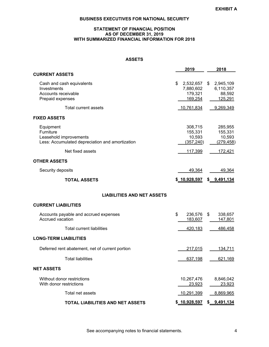# **STATEMENT OF FINANCIAL POSITION AS OF DECEMBER 31, 2019 WITH SUMMARIZED FINANCIAL INFORMATION FOR 2018**

# **ASSETS**

|                                                                                                     | 2019                                               | 2018                                              |
|-----------------------------------------------------------------------------------------------------|----------------------------------------------------|---------------------------------------------------|
| <b>CURRENT ASSETS</b>                                                                               |                                                    |                                                   |
| Cash and cash equivalents<br>Investments<br>Accounts receivable<br>Prepaid expenses                 | \$<br>2,532,657<br>7,880,602<br>179,321<br>169,254 | \$<br>2,945,109<br>6,110,357<br>88,592<br>125,291 |
| Total current assets                                                                                | 10,761,834                                         | 9,269,349                                         |
| <b>FIXED ASSETS</b>                                                                                 |                                                    |                                                   |
| Equipment<br>Furniture<br>Leasehold improvements<br>Less: Accumulated depreciation and amortization | 308,715<br>155,331<br>10,593<br>(357, 240)         | 285,955<br>155,331<br>10,593<br>(279, 458)        |
| Net fixed assets                                                                                    | <u>117,399</u>                                     | 172,421                                           |
| <b>OTHER ASSETS</b>                                                                                 |                                                    |                                                   |
| Security deposits                                                                                   | 49,364                                             | 49,364                                            |
| <b>TOTAL ASSETS</b>                                                                                 | \$10,928,597                                       | \$9,491,134                                       |
| <b>LIABILITIES AND NET ASSETS</b>                                                                   |                                                    |                                                   |
| <b>CURRENT LIABILITIES</b>                                                                          |                                                    |                                                   |
| Accounts payable and accrued expenses<br>Accrued vacation                                           | \$<br>236,576<br>183,607                           | \$<br>338,657<br>147,801                          |
| <b>Total current liabilities</b>                                                                    | <u>420,183</u>                                     | 486,458                                           |
| <b>LONG-TERM LIABILITIES</b>                                                                        |                                                    |                                                   |
| Deferred rent abatement, net of current portion                                                     | 217,015                                            | 134,711                                           |
| <b>Total liabilities</b>                                                                            | 637,198                                            | 621,169                                           |
| <b>NET ASSETS</b>                                                                                   |                                                    |                                                   |
| Without donor restrictions<br>With donor restrictions                                               | 10,267,476<br>23,923                               | 8,846,042<br>23,923                               |
| Total net assets                                                                                    | 10,291,399                                         | 8,869,965                                         |
| <b>TOTAL LIABILITIES AND NET ASSETS</b>                                                             | \$10,928,597                                       | \$9,491,134                                       |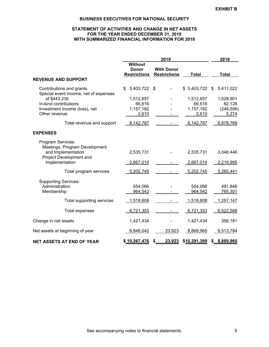# **STATEMENT OF ACTIVITIES AND CHANGE IN NET ASSETS FOR THE YEAR ENDED DECEMBER 31, 2019 WITH SUMMARIZED FINANCIAL INFORMATION FOR 2018**

|                                                                   |                                                       | 2018                                     |              |                 |
|-------------------------------------------------------------------|-------------------------------------------------------|------------------------------------------|--------------|-----------------|
| <b>REVENUE AND SUPPORT</b>                                        | <b>Without</b><br><b>Donor</b><br><b>Restrictions</b> | <b>With Donor</b><br><b>Restrictions</b> | <b>Total</b> | <b>Total</b>    |
|                                                                   |                                                       |                                          |              |                 |
| Contributions and grants<br>Special event income, net of expenses | \$<br>5,403,722 \$                                    |                                          | \$5,403,722  | 5,411,022<br>\$ |
| of \$443,230                                                      | 1,512,657                                             |                                          | 1,512,657    | 1,628,901       |
| In-kind contributions                                             | 66,616                                                |                                          | 66,616       | 82,128          |
| Investment income (loss), net                                     | 1,157,182                                             |                                          | 1,157,182    | (248, 556)      |
| Other revenue                                                     | 2,610                                                 |                                          | 2,610        | 5,274           |
| Total revenue and support                                         | 8,142,787                                             |                                          | 8,142,787    | 6,878,769       |
| <b>EXPENSES</b>                                                   |                                                       |                                          |              |                 |
| Program Services:<br>Meetings, Program Development                |                                                       |                                          |              |                 |
| and Implementation<br>Project Development and                     | 2,535,731                                             |                                          | 2,535,731    | 3,048,446       |
| Implementation                                                    | 2,667,014                                             |                                          | 2,667,014    | 2,216,995       |
| Total program services                                            | 5,202,745                                             |                                          | 5,202,745    | 5,265,441       |
| <b>Supporting Services:</b>                                       |                                                       |                                          |              |                 |
| Administration                                                    | 554,066                                               |                                          | 554,066      | 491,846         |
| Membership                                                        | 964,542                                               |                                          | 964,542      | 765,301         |
| Total supporting services                                         | 1,518,608                                             |                                          | 1,518,608    | 1,257,147       |
| Total expenses                                                    | 6,721,353                                             |                                          | 6,721,353    | 6,522,588       |
| Change in net assets                                              | 1,421,434                                             |                                          | 1,421,434    | 356,181         |
| Net assets at beginning of year                                   | 8,846,042                                             | 23,923                                   | 8,869,965    | 8,513,784       |
| <b>NET ASSETS AT END OF YEAR</b>                                  | \$10,267,476                                          | 23,923<br>S                              | \$10,291,399 | 8,869,965<br>S  |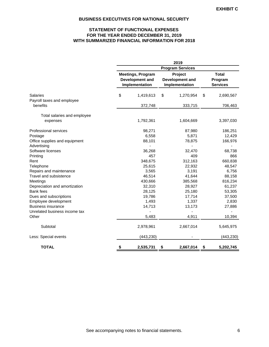# **FOR THE YEAR ENDED DECEMBER 31, 2019 STATEMENT OF FUNCTIONAL EXPENSES WITH SUMMARIZED FINANCIAL INFORMATION FOR 2018**

|                                               |                                                               | 2019                    |                                              |           |                                            |            |
|-----------------------------------------------|---------------------------------------------------------------|-------------------------|----------------------------------------------|-----------|--------------------------------------------|------------|
|                                               |                                                               | <b>Program Services</b> |                                              |           |                                            |            |
|                                               | <b>Meetings, Program</b><br>Development and<br>Implementation |                         | Project<br>Development and<br>Implementation |           | <b>Total</b><br>Program<br><b>Services</b> |            |
| <b>Salaries</b><br>Payroll taxes and employee | \$                                                            | 1,419,613               | \$                                           | 1,270,954 | \$                                         | 2,690,567  |
| benefits                                      |                                                               | 372,748                 |                                              | 333,715   |                                            | 706,463    |
| Total salaries and employee                   |                                                               |                         |                                              |           |                                            |            |
| expenses                                      |                                                               | 1,792,361               |                                              | 1,604,669 |                                            | 3,397,030  |
| <b>Professional services</b>                  |                                                               | 98,271                  |                                              | 87,980    |                                            | 186,251    |
| Postage                                       |                                                               | 6,558                   |                                              | 5,871     |                                            | 12,429     |
| Office supplies and equipment                 |                                                               | 88,101                  |                                              | 78,875    |                                            | 166,976    |
| Advertising                                   |                                                               |                         |                                              |           |                                            |            |
| Software licenses                             |                                                               | 36,268                  |                                              | 32,470    |                                            | 68,738     |
| Printing                                      |                                                               | 457                     |                                              | 409       |                                            | 866        |
| Rent                                          |                                                               | 348,675                 |                                              | 312,163   |                                            | 660,838    |
| Telephone                                     |                                                               | 25,615                  |                                              | 22,932    |                                            | 48,547     |
| Repairs and maintenance                       |                                                               | 3,565                   |                                              | 3,191     |                                            | 6,756      |
| Travel and subsistence                        |                                                               | 46,514                  |                                              | 41,644    |                                            | 88,158     |
| Meetings                                      |                                                               | 430,666                 |                                              | 385,568   |                                            | 816,234    |
| Depreciation and amortization                 |                                                               | 32,310                  |                                              | 28,927    |                                            | 61,237     |
| Bank fees                                     |                                                               | 28,125                  |                                              | 25,180    |                                            | 53,305     |
| Dues and subscriptions                        |                                                               | 19,786                  |                                              | 17,714    |                                            | 37,500     |
| Employee development                          |                                                               | 1,493                   |                                              | 1,337     |                                            | 2,830      |
| <b>Business insurance</b>                     |                                                               | 14,713                  |                                              | 13,173    |                                            | 27,886     |
| Unrelated business income tax                 |                                                               |                         |                                              |           |                                            |            |
| Other                                         |                                                               | 5,483                   |                                              | 4,911     |                                            | 10,394     |
| Subtotal                                      |                                                               | 2,978,961               |                                              | 2,667,014 |                                            | 5,645,975  |
| Less: Special events                          |                                                               | (443, 230)              |                                              |           |                                            | (443, 230) |
| <b>TOTAL</b>                                  | \$                                                            | 2,535,731               | \$                                           | 2,667,014 | \$                                         | 5,202,745  |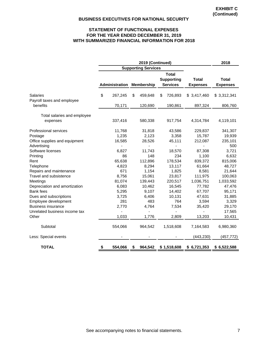# **FOR THE YEAR ENDED DECEMBER 31, 2019 STATEMENT OF FUNCTIONAL EXPENSES WITH SUMMARIZED FINANCIAL INFORMATION FOR 2018**

|                                         | 2019 (Continued)           |                       |    |                   |    |                                                      | 2018                            |                                 |
|-----------------------------------------|----------------------------|-----------------------|----|-------------------|----|------------------------------------------------------|---------------------------------|---------------------------------|
|                                         | <b>Supporting Services</b> |                       |    |                   |    |                                                      |                                 |                                 |
|                                         |                            | <b>Administration</b> |    | <b>Membership</b> |    | <b>Total</b><br><b>Supporting</b><br><b>Services</b> | <b>Total</b><br><b>Expenses</b> | <b>Total</b><br><b>Expenses</b> |
| Salaries<br>Payroll taxes and employee  | \$                         | 267,245               | \$ | 459,648           | \$ | 726,893                                              | \$3,417,460                     | \$3,312,341                     |
| benefits                                |                            | 70,171                |    | 120,690           |    | 190,861                                              | 897,324                         | 806,760                         |
| Total salaries and employee<br>expenses |                            | 337,416               |    | 580,338           |    | 917,754                                              | 4,314,784                       | 4,119,101                       |
| <b>Professional services</b>            |                            | 11,768                |    | 31,818            |    | 43,586                                               | 229,837                         | 341,307                         |
| Postage                                 |                            | 1,235                 |    | 2,123             |    | 3,358                                                | 15,787                          | 19,939                          |
| Office supplies and equipment           |                            | 16,585                |    | 28,526            |    | 45,111                                               | 212,087                         | 235,101                         |
| Advertising                             |                            |                       |    |                   |    |                                                      |                                 | 500                             |
| Software licenses                       |                            | 6,827                 |    | 11,743            |    | 18,570                                               | 87,308                          | 3,721                           |
| Printing                                |                            | 86                    |    | 148               |    | 234                                                  | 1,100                           | 6,632                           |
| Rent                                    |                            | 65,638                |    | 112,896           |    | 178,534                                              | 839,372                         | 815,006                         |
| Telephone                               |                            | 4,823                 |    | 8,294             |    | 13,117                                               | 61,664                          | 48,727                          |
| Repairs and maintenance                 |                            | 671                   |    | 1,154             |    | 1,825                                                | 8,581                           | 21,644                          |
| Travel and subsistence                  |                            | 8,756                 |    | 15,061            |    | 23,817                                               | 111,975                         | 100,063                         |
| Meetings                                |                            | 81,074                |    | 139,443           |    | 220,517                                              | 1,036,751                       | 1,033,592                       |
| Depreciation and amortization           |                            | 6,083                 |    | 10,462            |    | 16,545                                               | 77,782                          | 47,476                          |
| <b>Bank fees</b>                        |                            | 5,295                 |    | 9,107             |    | 14,402                                               | 67,707                          | 95,171                          |
| Dues and subscriptions                  |                            | 3,725                 |    | 6,406             |    | 10,131                                               | 47,631                          | 31,885                          |
| Employee development                    |                            | 281                   |    | 483               |    | 764                                                  | 3,594                           | 3,329                           |
| <b>Business insurance</b>               |                            | 2,770                 |    | 4,764             |    | 7,534                                                | 35,420                          | 29,170                          |
| Unrelated business income tax           |                            |                       |    |                   |    |                                                      |                                 | 17,565                          |
| Other                                   |                            | 1,033                 |    | 1,776             |    | 2,809                                                | 13,203                          | 10,431                          |
| Subtotal                                |                            | 554,066               |    | 964,542           |    | 1,518,608                                            | 7,164,583                       | 6,980,360                       |
| Less: Special events                    |                            |                       |    |                   |    |                                                      | (443, 230)                      | (457, 772)                      |
| <b>TOTAL</b>                            |                            | 554,066               | \$ | 964,542           |    | \$1,518,608                                          | \$6,721,353                     | \$6,522,588                     |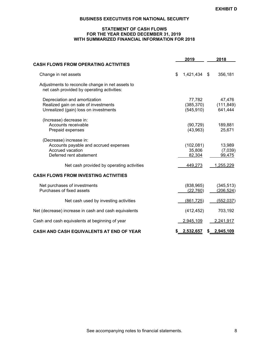# **STATEMENT OF CASH FLOWS FOR THE YEAR ENDED DECEMBER 31, 2019 WITH SUMMARIZED FINANCIAL INFORMATION FOR 2018**

|                                                                                                                 | 2019                               | 2018                            |
|-----------------------------------------------------------------------------------------------------------------|------------------------------------|---------------------------------|
| <b>CASH FLOWS FROM OPERATING ACTIVITIES</b>                                                                     |                                    |                                 |
| Change in net assets                                                                                            | 1,421,434<br>\$                    | 356,181<br>\$                   |
| Adjustments to reconcile change in net assets to<br>net cash provided by operating activities:                  |                                    |                                 |
| Depreciation and amortization<br>Realized gain on sale of investments<br>Unrealized (gain) loss on investments  | 77,782<br>(385, 370)<br>(545, 910) | 47,476<br>(111, 849)<br>641,444 |
| (Increase) decrease in:<br>Accounts receivable<br>Prepaid expenses                                              | (90, 729)<br>(43,963)              | 189,881<br>25,671               |
| (Decrease) increase in:<br>Accounts payable and accrued expenses<br>Accrued vacation<br>Deferred rent abatement | (102, 081)<br>35,806<br>82,304     | 13,989<br>(7,039)<br>99,475     |
| Net cash provided by operating activities                                                                       | 449,273                            | 1,255,229                       |
| <b>CASH FLOWS FROM INVESTING ACTIVITIES</b>                                                                     |                                    |                                 |
| Net purchases of investments<br>Purchases of fixed assets                                                       | (838, 965)<br>(22, 760)            | (345, 513)<br>(206, 524)        |
| Net cash used by investing activities                                                                           | (861, 725)                         | (552, 037)                      |
| Net (decrease) increase in cash and cash equivalents                                                            | (412, 452)                         | 703,192                         |
| Cash and cash equivalents at beginning of year                                                                  | 2,945,109                          | 2,241,917                       |
| <b>CASH AND CASH EQUIVALENTS AT END OF YEAR</b>                                                                 | 2,532,657<br>S.                    | 2,945,109<br>\$                 |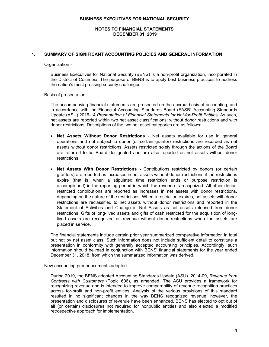# **NOTES TO FINANCIAL STATEMENTS DECEMBER 31, 2019**

# **1. SUMMARY OF SIGNIFICANT ACCOUNTING POLICIES AND GENERAL INFORMATION**

#### Organization -

Business Executives for National Security (BENS) is a non-profit organization, incorporated in the District of Columbia. The purpose of BENS is to apply best business practices to address the nation's most pressing security challenges.

Basis of presentation -

The accompanying financial statements are presented on the accrual basis of accounting, and in accordance with the Financial Accounting Standards Board (FASB) Accounting Standards Update (ASU) 2016-14 *Presentation of Financial Statements for Not-for-Profit Entitie*s. As such, net assets are reported within two net asset classifications: without donor restrictions and with donor restrictions. Descriptions of the two net asset categories are as follows:

- **Net Assets Without Donor Restrictions** Net assets available for use in general operations and not subject to donor (or certain grantor) restrictions are recorded as net assets without donor restrictions. Assets restricted solely through the actions of the Board are referred to as Board designated and are also reported as net assets without donor restrictions.
- **Net Assets With Donor Restrictions -** Contributions restricted by donors (or certain grantors) are reported as increases in net assets without donor restrictions if the restrictions expire (that is, when a stipulated time restriction ends or purpose restriction is accomplished) in the reporting period in which the revenue is recognized. All other donorrestricted contributions are reported as increases in net assets with donor restrictions, depending on the nature of the restrictions. When a restriction expires, net assets with donor restrictions are reclassified to net assets without donor restrictions and reported in the Statement of Activities and Change in Net Assets as net assets released from donor restrictions. Gifts of long-lived assets and gifts of cash restricted for the acquisition of longlived assets are recognized as revenue without donor restrictions when the assets are placed in service.

The financial statements include certain prior year summarized comparative information in total but not by net asset class. Such information does not include sufficient detail to constitute a presentation in conformity with generally accepted accounting principles. Accordingly, such information should be read in conjunction with BENS' financial statements for the year ended December 31, 2018, from which the summarized information was derived.

New accounting pronouncements adopted -

During 2019, the BENS adopted Accounting Standards Update (ASU) 2014-09, *Revenue from Contracts with Customers* (Topic 606), as amended. The ASU provides a framework for recognizing revenue and is intended to improve comparability of revenue recognition practices across for-profit and non-profit entities. Analysis of the various provisions of this standard resulted in no significant changes in the way BENS recognized revenue; however, the presentation and disclosures of revenue have been enhanced. BENS has elected to opt out of all (or certain) disclosures not required for nonpublic entities and also elected a modified retrospective approach for implementation.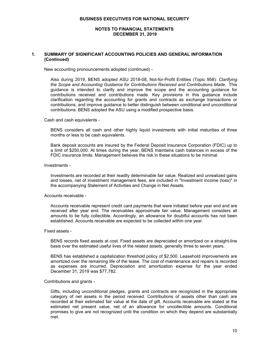## **NOTES TO FINANCIAL STATEMENTS DECEMBER 31, 2019**

# **1. SUMMARY OF SIGNIFICANT ACCOUNTING POLICIES AND GENERAL INFORMATION (Continued)**

New accounting pronouncements adopted (continued) -

Also during 2019, BENS adopted ASU 2018-08, Not-for-Profit Entities (Topic 958): *Clarifying the Scope and Accounting Guidance for Contributions Received and Contributions Made.* This guidance is intended to clarify and improve the scope and the accounting guidance for contributions received and contributions made. Key provisions in this guidance include clarification regarding the accounting for grants and contracts as exchange transactions or contributions, and improve guidance to better distinguish between conditional and unconditional contributions. BENS adopted the ASU using a modified prospective basis.

Cash and cash equivalents -

BENS considers all cash and other highly liquid investments with initial maturities of three months or less to be cash equivalents.

Bank deposit accounts are insured by the Federal Deposit Insurance Corporation (FDIC) up to a limit of \$250,000. At times during the year, BENS maintains cash balances in excess of the FDIC insurance limits. Management believes the risk in these situations to be minimal.

#### Investments -

Investments are recorded at their readily determinable fair value. Realized and unrealized gains and losses, net of investment management fees, are included in "Investment income (loss)" in the accompanying Statement of Activities and Change in Net Assets.

#### Accounts receivable -

Accounts receivable represent credit card payments that were initiated before year end and are received after year end. The receivables approximate fair value. Management considers all amounts to be fully collectible. Accordingly, an allowance for doubtful accounts has not been established. Accounts receivable are expected to be collected within one year.

#### Fixed assets -

BENS records fixed assets at cost. Fixed assets are depreciated or amortized on a straight-line basis over the estimated useful lives of the related assets, generally three to seven years.

BENS has established a capitalization threshold policy of \$2,500. Leasehold improvements are amortized over the remaining life of the lease. The cost of maintenance and repairs is recorded as expenses are incurred. Depreciation and amortization expense for the year ended December 31, 2019 was \$77,782.

#### Contributions and grants -

Gifts, including unconditional pledges, grants and contracts are recognized in the appropriate category of net assets in the period received. Contributions of assets other than cash are recorded at their estimated fair value at the date of gift. Accounts receivable are stated at the estimated net present value, net of an allowance for uncollectible amounts. Conditional promises to give are not recognized until the condition on which they depend are substantially met.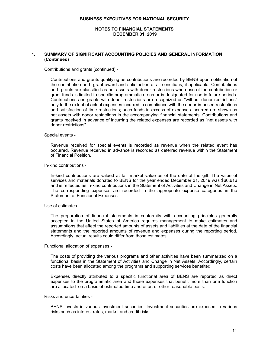## **NOTES TO FINANCIAL STATEMENTS DECEMBER 31, 2019**

# **1. SUMMARY OF SIGNIFICANT ACCOUNTING POLICIES AND GENERAL INFORMATION (Continued)**

Contributions and grants (continued) -

Contributions and grants qualifying as contributions are recorded by BENS upon notification of the contribution and grant award and satisfaction of all conditions, if applicable. Contributions and grants are classified as net assets with donor restrictions when use of the contribution or grant funds is limited to specific programmatic areas or is designated for use in future periods. Contributions and grants with donor restrictions are recognized as "without donor restrictions" only to the extent of actual expenses incurred in compliance with the donor-imposed restrictions and satisfaction of time restrictions; such funds in excess of expenses incurred are shown as net assets with donor restrictions in the accompanying financial statements. Contributions and grants received in advance of incurring the related expenses are recorded as "net assets with donor restrictions".

Special events -

Revenue received for special events is recorded as revenue when the related event has occurred. Revenue received in advance is recorded as deferred revenue within the Statement of Financial Position.

In-kind contributions -

In-kind contributions are valued at fair market value as of the date of the gift. The value of services and materials donated to BENS for the year ended December 31, 2019 was \$66,616 and is reflected as in-kind contributions in the Statement of Activities and Change in Net Assets. The corresponding expenses are recorded in the appropriate expense categories in the Statement of Functional Expenses.

Use of estimates -

The preparation of financial statements in conformity with accounting principles generally accepted in the United States of America requires management to make estimates and assumptions that affect the reported amounts of assets and liabilities at the date of the financial statements and the reported amounts of revenue and expenses during the reporting period. Accordingly, actual results could differ from those estimates.

Functional allocation of expenses -

The costs of providing the various programs and other activities have been summarized on a functional basis in the Statement of Activities and Change in Net Assets. Accordingly, certain costs have been allocated among the programs and supporting services benefited.

Expenses directly attributed to a specific functional area of BENS are reported as direct expenses to the programmatic area and those expenses that benefit more than one function are allocated on a basis of estimated time and effort or other reasonable basis.

Risks and uncertainties -

BENS invests in various investment securities. Investment securities are exposed to various risks such as interest rates, market and credit risks.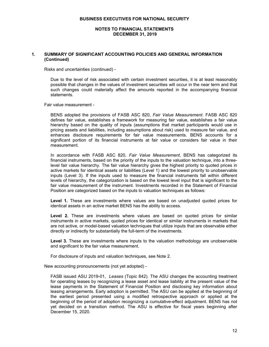# **NOTES TO FINANCIAL STATEMENTS DECEMBER 31, 2019**

# **1. SUMMARY OF SIGNIFICANT ACCOUNTING POLICIES AND GENERAL INFORMATION (Continued)**

Risks and uncertainties (continued) -

Due to the level of risk associated with certain investment securities, it is at least reasonably possible that changes in the values of investment securities will occur in the near term and that such changes could materially affect the amounts reported in the accompanying financial statements.

Fair value measurement -

BENS adopted the provisions of FASB ASC 820, *Fair Value Measurement*. FASB ASC 820 defines fair value, establishes a framework for measuring fair value, establishes a fair value hierarchy based on the quality of inputs (assumptions that market participants would use in pricing assets and liabilities, including assumptions about risk) used to measure fair value, and enhances disclosure requirements for fair value measurements. BENS accounts for a significant portion of its financial instruments at fair value or considers fair value in their measurement.

In accordance with FASB ASC 820, *Fair Value Measurement*, BENS has categorized its financial instruments, based on the priority of the inputs to the valuation technique, into a threelevel fair value hierarchy. The fair value hierarchy gives the highest priority to quoted prices in active markets for identical assets or liabilities (Level 1) and the lowest priority to unobservable inputs (Level 3). If the inputs used to measure the financial instruments fall within different levels of hierarchy, the categorization is based on the lowest level input that is significant to the fair value measurement of the instrument. Investments recorded in the Statement of Financial Position are categorized based on the inputs to valuation techniques as follows:

**Level 1.** These are investments where values are based on unadjusted quoted prices for identical assets in an active market BENS has the ability to access.

**Level 2.** These are investments where values are based on quoted prices for similar instruments in active markets, quoted prices for identical or similar instruments in markets that are not active, or model-based valuation techniques that utilize inputs that are observable either directly or indirectly for substantially the full-term of the investments.

Level 3. These are investments where inputs to the valuation methodology are unobservable and significant to the fair value measurement.

For disclosure of inputs and valuation techniques, see Note 2.

New accounting pronouncements (not yet adopted) -

FASB issued ASU 2019-01, *Leases* (Topic 842). The ASU changes the accounting treatment for operating leases by recognizing a lease asset and lease liability at the present value of the lease payments in the Statement of Financial Position and disclosing key information about leasing arrangements. Early adoption is permitted. The ASU can be applied at the beginning of the earliest period presented using a modified retrospective approach or applied at the beginning of the period of adoption recognizing a cumulative-effect adjustment. BENS has not yet decided on a transition method. The ASU is effective for fiscal years beginning after December 15, 2020.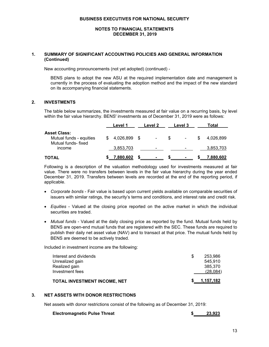# **NOTES TO FINANCIAL STATEMENTS DECEMBER 31, 2019**

# **1. SUMMARY OF SIGNIFICANT ACCOUNTING POLICIES AND GENERAL INFORMATION (Continued)**

New accounting pronouncements (not yet adopted) (continued) -

BENS plans to adopt the new ASU at the required implementation date and management is currently in the process of evaluating the adoption method and the impact of the new standard on its accompanying financial statements.

# **2. INVESTMENTS**

The table below summarizes, the investments measured at fair value on a recurring basis, by level within the fair value hierarchy. BENS' investments as of December 31, 2019 were as follows:

|                                                                      | Level 1          |      | Level 2                  |   | Level 3        | Total            |
|----------------------------------------------------------------------|------------------|------|--------------------------|---|----------------|------------------|
| <b>Asset Class:</b><br>Mutual funds - equities<br>Mutual funds-fixed | 4,026,899        | - \$ |                          | S | ۰              | 4,026,899        |
| income                                                               | 3,853,703        |      | $\overline{\phantom{0}}$ |   |                | 3,853,703        |
| TOTAL                                                                | <u>7,880,602</u> |      | $\sim$                   |   | $\blacksquare$ | <u>7,880,602</u> |

Following is a description of the valuation methodology used for investments measured at fair value. There were no transfers between levels in the fair value hierarchy during the year ended December 31, 2019. Transfers between levels are recorded at the end of the reporting period, if applicable.

- *Corporate bonds* Fair value is based upon current yields available on comparable securities of issuers with similar ratings, the security's terms and conditions, and interest rate and credit risk.
- *Equities* Valued at the closing price reported on the active market in which the individual securities are traded.
- *Mutual funds* Valued at the daily closing price as reported by the fund. Mutual funds held by BENS are open-end mutual funds that are registered with the SEC. These funds are required to publish their daily net asset value (NAV) and to transact at that price. The mutual funds held by BENS are deemed to be actively traded.

Included in investment income are the following:

| TOTAL INVESTMENT INCOME, NET |   | \$ 1,157,182 |
|------------------------------|---|--------------|
| Investment fees              |   | (28,084)     |
| Realized gain                |   | 385.370      |
| Unrealized gain              |   | 545.910      |
| Interest and dividends       | S | 253.986      |

# **3. NET ASSETS WITH DONOR RESTRICTIONS**

Net assets with donor restrictions consist of the following as of December 31, 2019:

**Electromagnetic Pulse Threat \$ 23,923**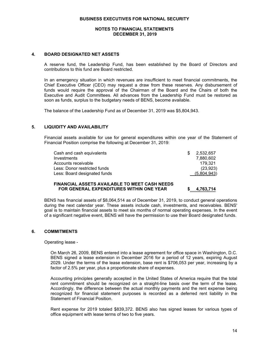# **NOTES TO FINANCIAL STATEMENTS DECEMBER 31, 2019**

# **4. BOARD DESIGNATED NET ASSETS**

A reserve fund, the Leadership Fund, has been established by the Board of Directors and contributions to this fund are Board restricted.

In an emergency situation in which revenues are insufficient to meet financial commitments, the Chief Executive Officer (CEO) may request a draw from these reserves. Any disbursement of funds would require the approval of the Chairman of the Board and the Chairs of both the Executive and Audit Committees. All advances from the Leadership Fund must be restored as soon as funds, surplus to the budgetary needs of BENS, become available.

The balance of the Leadership Fund as of December 31, 2019 was \$5,804,943.

# **5. LIQUIDITY AND AVAILABILITY**

Financial assets available for use for general expenditures within one year of the Statement of Financial Position comprise the following at December 31, 2019:

| Cash and cash equivalents    | \$. | 2.532.657   |
|------------------------------|-----|-------------|
| Investments                  |     | 7.880.602   |
| Accounts receivable          |     | 179.321     |
| Less: Donor restricted funds |     | (23, 923)   |
| Less: Board designated funds |     | (5,804,943) |
|                              |     |             |

#### **FINANCIAL ASSETS AVAILABLE TO MEET CASH NEEDS FOR GENERAL EXPENDITURES WITHIN ONE YEAR \$ 4,763,714**

BENS has financial assets of \$8,064,514 as of December 31, 2019, to conduct general operations during the next calendar year. These assets include cash, investments, and receivables. BENS' goal is to maintain financial assets to meet six months of normal operating expenses. In the event of a significant negative event, BENS will have the permission to use their Board designated funds.

# **6. COMMITMENTS**

Operating lease -

On March 26, 2009, BENS entered into a lease agreement for office space in Washington, D.C. BENS signed a lease extension in December 2016 for a period of 12 years, expiring August 2029. Under the terms of the lease extension, base rent is \$706,053 per year, increasing by a factor of 2.5% per year, plus a proportionate share of expenses.

Accounting principles generally accepted in the United States of America require that the total rent commitment should be recognized on a straight-line basis over the term of the lease. Accordingly, the difference between the actual monthly payments and the rent expense being recognized for financial statement purposes is recorded as a deferred rent liability in the Statement of Financial Position.

Rent expense for 2019 totaled \$839,372. BENS also has signed leases for various types of office equipment with lease terms of two to five years.